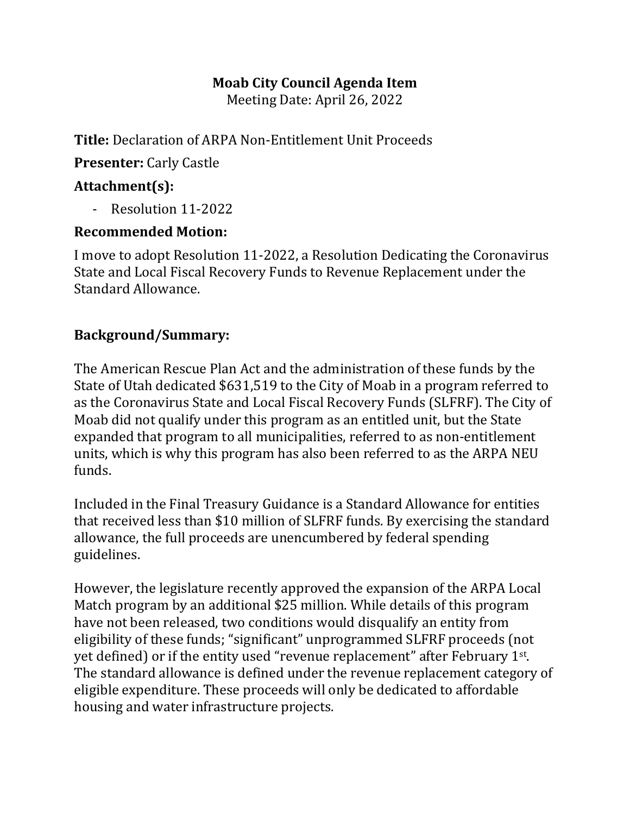#### **Moab City Council Agenda Item**

Meeting Date: April 26, 2022

**Title:** Declaration of ARPA Non-Entitlement Unit Proceeds

**Presenter:** Carly Castle

# **Attachment(s):**

- Resolution 11-2022

#### **Recommended Motion:**

I move to adopt Resolution 11-2022, a Resolution Dedicating the Coronavirus State and Local Fiscal Recovery Funds to Revenue Replacement under the Standard Allowance.

## **Background/Summary:**

The American Rescue Plan Act and the administration of these funds by the State of Utah dedicated \$631,519 to the City of Moab in a program referred to as the Coronavirus State and Local Fiscal Recovery Funds (SLFRF). The City of Moab did not qualify under this program as an entitled unit, but the State expanded that program to all municipalities, referred to as non-entitlement units, which is why this program has also been referred to as the ARPA NEU funds.

Included in the Final Treasury Guidance is a Standard Allowance for entities that received less than \$10 million of SLFRF funds. By exercising the standard allowance, the full proceeds are unencumbered by federal spending guidelines.

However, the legislature recently approved the expansion of the ARPA Local Match program by an additional \$25 million. While details of this program have not been released, two conditions would disqualify an entity from eligibility of these funds; "significant" unprogrammed SLFRF proceeds (not yet defined) or if the entity used "revenue replacement" after February 1st. The standard allowance is defined under the revenue replacement category of eligible expenditure. These proceeds will only be dedicated to affordable housing and water infrastructure projects.